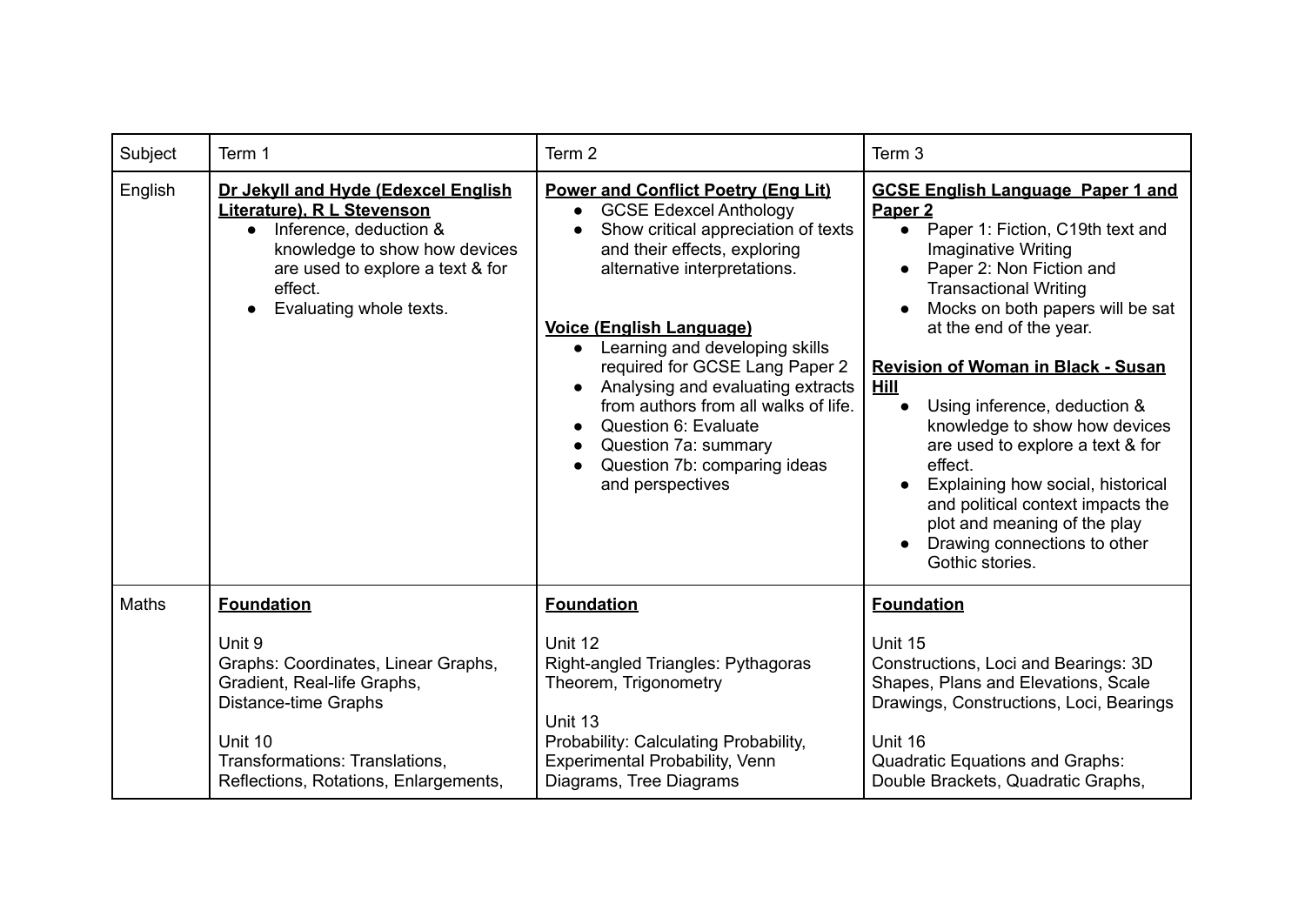| Subject | Term 1                                                                                                                                                                                                              | Term 2                                                                                                                                                                                                                                                                                                                                                                                                                                                                                               | Term 3                                                                                                                                                                                                                                                                                                                                                                                                                                                                                                                                                                                                                         |
|---------|---------------------------------------------------------------------------------------------------------------------------------------------------------------------------------------------------------------------|------------------------------------------------------------------------------------------------------------------------------------------------------------------------------------------------------------------------------------------------------------------------------------------------------------------------------------------------------------------------------------------------------------------------------------------------------------------------------------------------------|--------------------------------------------------------------------------------------------------------------------------------------------------------------------------------------------------------------------------------------------------------------------------------------------------------------------------------------------------------------------------------------------------------------------------------------------------------------------------------------------------------------------------------------------------------------------------------------------------------------------------------|
| English | Dr Jekyll and Hyde (Edexcel English<br>Literature), R L Stevenson<br>Inference, deduction &<br>$\bullet$<br>knowledge to show how devices<br>are used to explore a text & for<br>effect.<br>Evaluating whole texts. | <b>Power and Conflict Poetry (Eng Lit)</b><br><b>GCSE Edexcel Anthology</b><br>$\bullet$<br>Show critical appreciation of texts<br>and their effects, exploring<br>alternative interpretations.<br><b>Voice (English Language)</b><br>Learning and developing skills<br>$\bullet$<br>required for GCSE Lang Paper 2<br>Analysing and evaluating extracts<br>from authors from all walks of life.<br>Question 6: Evaluate<br>Question 7a: summary<br>Question 7b: comparing ideas<br>and perspectives | <b>GCSE English Language Paper 1 and</b><br>Paper <sub>2</sub><br>Paper 1: Fiction, C19th text and<br>$\bullet$<br><b>Imaginative Writing</b><br>Paper 2: Non Fiction and<br>$\bullet$<br><b>Transactional Writing</b><br>Mocks on both papers will be sat<br>at the end of the year.<br><b>Revision of Woman in Black - Susan</b><br><b>Hill</b><br>Using inference, deduction &<br>knowledge to show how devices<br>are used to explore a text & for<br>effect.<br>Explaining how social, historical<br>and political context impacts the<br>plot and meaning of the play<br>Drawing connections to other<br>Gothic stories. |
| Maths   | <b>Foundation</b>                                                                                                                                                                                                   | <b>Foundation</b>                                                                                                                                                                                                                                                                                                                                                                                                                                                                                    | <b>Foundation</b>                                                                                                                                                                                                                                                                                                                                                                                                                                                                                                                                                                                                              |
|         | Unit 9<br>Graphs: Coordinates, Linear Graphs,<br>Gradient, Real-life Graphs,<br>Distance-time Graphs<br>Unit 10<br>Transformations: Translations,<br>Reflections, Rotations, Enlargements,                          | Unit 12<br>Right-angled Triangles: Pythagoras<br>Theorem, Trigonometry<br>Unit 13<br>Probability: Calculating Probability,<br>Experimental Probability, Venn<br>Diagrams, Tree Diagrams                                                                                                                                                                                                                                                                                                              | Unit 15<br>Constructions, Loci and Bearings: 3D<br>Shapes, Plans and Elevations, Scale<br>Drawings, Constructions, Loci, Bearings<br>Unit 16<br><b>Quadratic Equations and Graphs:</b><br>Double Brackets, Quadratic Graphs,                                                                                                                                                                                                                                                                                                                                                                                                   |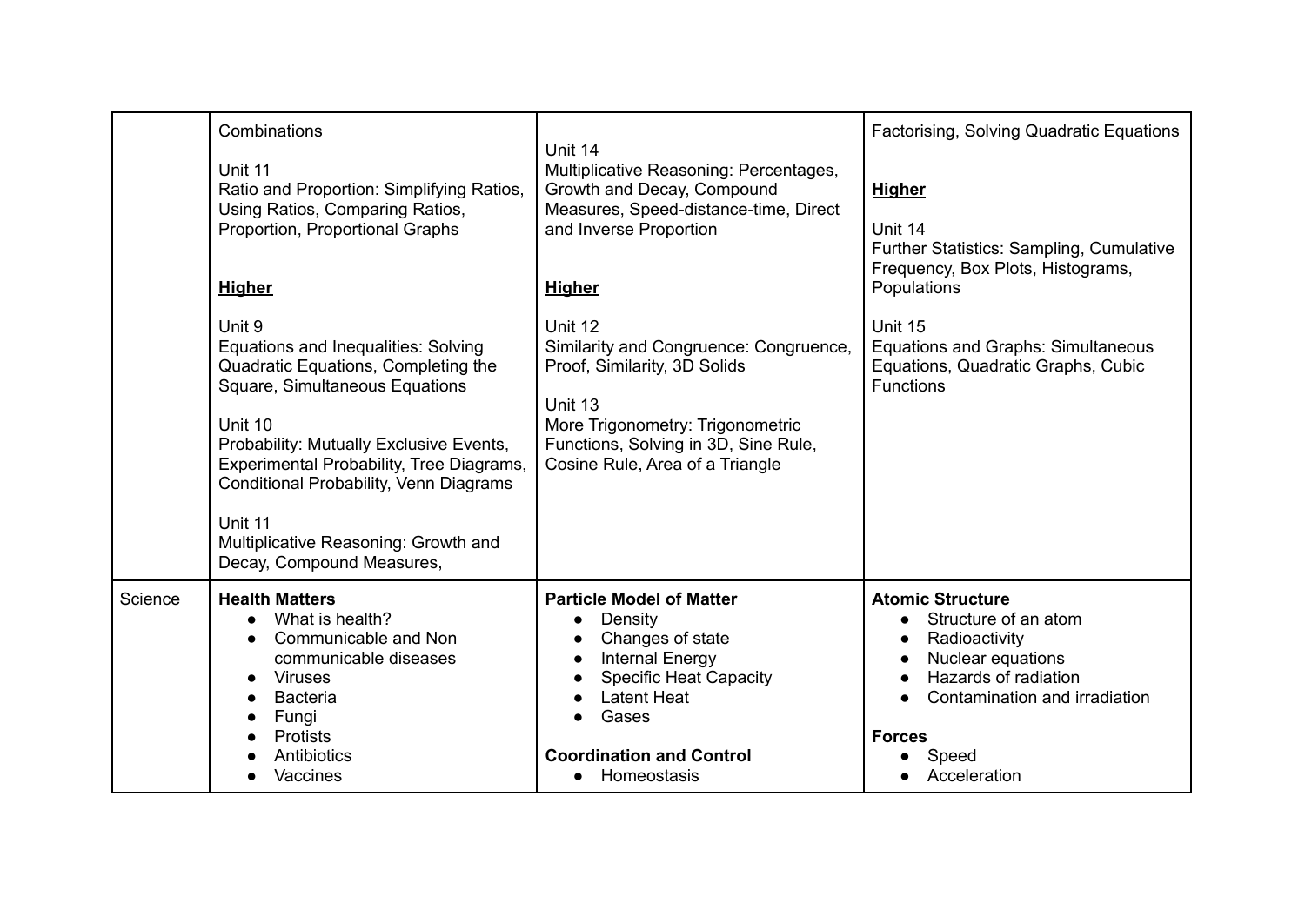|         | Combinations<br>Unit 11<br>Ratio and Proportion: Simplifying Ratios,<br>Using Ratios, Comparing Ratios,<br>Proportion, Proportional Graphs<br><b>Higher</b>                                                                                                                                                                                        | Unit 14<br>Multiplicative Reasoning: Percentages,<br>Growth and Decay, Compound<br>Measures, Speed-distance-time, Direct<br>and Inverse Proportion<br><b>Higher</b>                                                       | Factorising, Solving Quadratic Equations<br><b>Higher</b><br>Unit 14<br>Further Statistics: Sampling, Cumulative<br>Frequency, Box Plots, Histograms,<br>Populations                                               |
|---------|----------------------------------------------------------------------------------------------------------------------------------------------------------------------------------------------------------------------------------------------------------------------------------------------------------------------------------------------------|---------------------------------------------------------------------------------------------------------------------------------------------------------------------------------------------------------------------------|--------------------------------------------------------------------------------------------------------------------------------------------------------------------------------------------------------------------|
|         | Unit 9<br>Equations and Inequalities: Solving<br>Quadratic Equations, Completing the<br>Square, Simultaneous Equations<br>Unit 10<br>Probability: Mutually Exclusive Events,<br>Experimental Probability, Tree Diagrams,<br>Conditional Probability, Venn Diagrams<br>Unit 11<br>Multiplicative Reasoning: Growth and<br>Decay, Compound Measures, | Unit 12<br>Similarity and Congruence: Congruence,<br>Proof, Similarity, 3D Solids<br>Unit 13<br>More Trigonometry: Trigonometric<br>Functions, Solving in 3D, Sine Rule,<br>Cosine Rule, Area of a Triangle               | Unit 15<br><b>Equations and Graphs: Simultaneous</b><br>Equations, Quadratic Graphs, Cubic<br><b>Functions</b>                                                                                                     |
| Science | <b>Health Matters</b><br>What is health?<br>$\bullet$<br>Communicable and Non<br>$\bullet$<br>communicable diseases<br><b>Viruses</b><br><b>Bacteria</b><br>$\bullet$<br>Fungi<br><b>Protists</b><br>Antibiotics<br>Vaccines                                                                                                                       | <b>Particle Model of Matter</b><br>Density<br>$\bullet$<br>Changes of state<br><b>Internal Energy</b><br><b>Specific Heat Capacity</b><br><b>Latent Heat</b><br>Gases<br><b>Coordination and Control</b><br>• Homeostasis | <b>Atomic Structure</b><br>Structure of an atom<br>$\bullet$<br>Radioactivity<br>Nuclear equations<br>$\bullet$<br>Hazards of radiation<br>Contamination and irradiation<br><b>Forces</b><br>Speed<br>Acceleration |